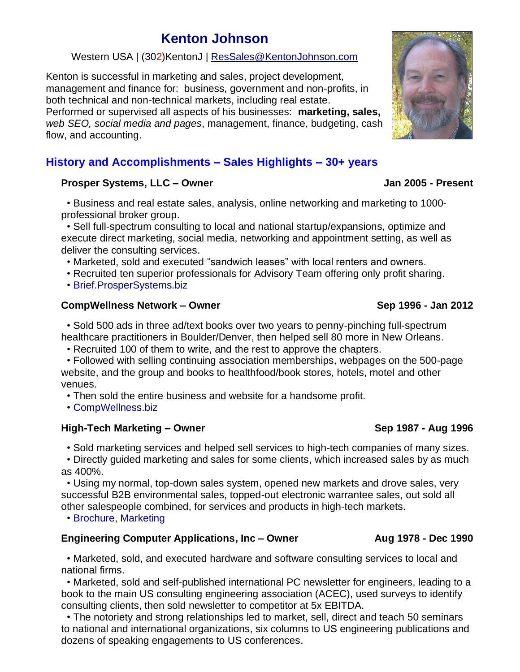# **[Kenton Johnson](mailto:Res@KentonJohnson.com?subject=Inquiry)**

# Western USA | (302)KentonJ | [ResSales@KentonJohnson.com](mailto:ResSales@KentonJohnson.com)

Kenton is successful in marketing and sales, project development, management and finance for: business, government and non-profits, in both technical and non-technical markets, including real estate. Performed or supervised all aspects of his businesses: **marketing, sales,** *web SEO, social media and pages*, management, finance, budgeting, cash flow, and accounting.

# **History and Accomplishments – Sales Highlights – 30+ years**

## **Prosper Systems, LLC – Owner Jan 2005 - Present**

 • Business and real estate sales, analysis, online networking and marketing to 1000 professional broker group.

 • Sell full-spectrum consulting to local and national startup/expansions, optimize and execute direct marketing, social media, networking and appointment setting, as well as deliver the consulting services.

• Marketed, sold and executed "sandwich leases" with local renters and owners.

• Recruited ten superior professionals for Advisory Team offering only profit sharing.

• [Brief.ProsperSystems.biz](http://brief.prospersystems.biz/)

## **CompWellness Network – Owner Sep 1996 - Jan 2012**

 • Sold 500 ads in three ad/text books over two years to penny-pinching full-spectrum healthcare practitioners in Boulder/Denver, then helped sell 80 more in New Orleans.

• Recruited 100 of them to write, and the rest to approve the chapters.

 • Followed with selling continuing association memberships, webpages on the 500-page website, and the group and books to healthfood/book stores, hotels, motel and other venues.

• Then sold the entire business and website for a handsome profit.

• [CompWellness.biz](https://compwellness.biz/)

### **High-Tech Marketing – Owner Sep 1987 - Aug 1996**

• Sold marketing services and helped sell services to high-tech companies of many sizes.

 • Directly guided marketing and sales for some clients, which increased sales by as much as 400%.

 • Using my normal, top-down sales system, opened new markets and drove sales, very successful B2B environmental sales, topped-out electronic warrantee sales, out sold all other salespeople combined, for services and products in high-tech markets.

• [Brochure,](http://htmc.kentonhjohnson.com/) [Marketing](https://kentonhjohnson.com/#Pubs)

# **Engineering Computer Applications, Inc – Owner Aug 1978 - Dec 1990**

 • Marketed, sold, and executed hardware and software consulting services to local and national firms.

 • Marketed, sold and self-published international PC newsletter for engineers, leading to a book to the main US consulting engineering association (ACEC), used surveys to identify consulting clients, then sold newsletter to competitor at 5x EBITDA.

 • The notoriety and strong relationships led to market, sell, direct and teach 50 seminars to national and international organizations, six columns to US engineering publications and dozens of speaking engagements to US conferences.